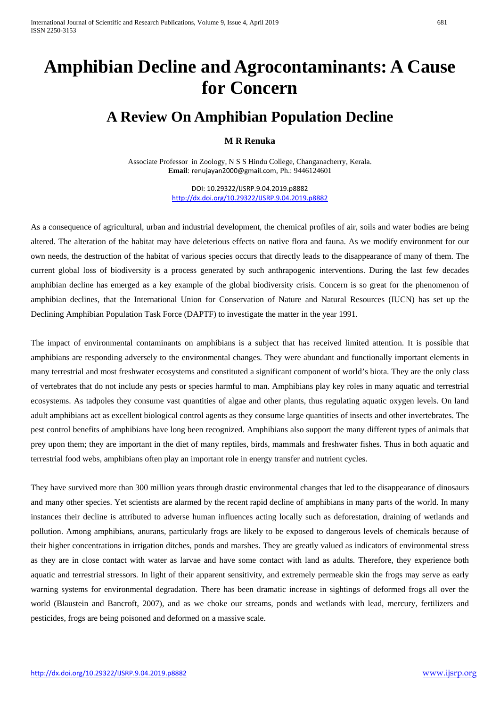## **Amphibian Decline and Agrocontaminants: A Cause for Concern**

## **A Review On Amphibian Population Decline**

## **M R Renuka**

Associate Professor in Zoology, N S S Hindu College, Changanacherry, Kerala. **Email**: [renujayan2000@gmail.com](mailto:renujayan2000@gmail.com), Ph.: 9446124601

> DOI: 10.29322/IJSRP.9.04.2019.p8882 [http://dx.doi.org/10.29322/IJSRP.9.04.2019.p8882](http://dx.doi.org/10.29322/IJSRP.9.03.2019.p8882)

As a consequence of agricultural, urban and industrial development, the chemical profiles of air, soils and water bodies are being altered. The alteration of the habitat may have deleterious effects on native flora and fauna. As we modify environment for our own needs, the destruction of the habitat of various species occurs that directly leads to the disappearance of many of them. The current global loss of biodiversity is a process generated by such anthrapogenic interventions. During the last few decades amphibian decline has emerged as a key example of the global biodiversity crisis. Concern is so great for the phenomenon of amphibian declines, that the International Union for Conservation of Nature and Natural Resources (IUCN) has set up the Declining Amphibian Population Task Force (DAPTF) to investigate the matter in the year 1991.

The impact of environmental contaminants on amphibians is a subject that has received limited attention. It is possible that amphibians are responding adversely to the environmental changes. They were abundant and functionally important elements in many terrestrial and most freshwater ecosystems and constituted a significant component of world's biota. They are the only class of vertebrates that do not include any pests or species harmful to man. Amphibians play key roles in many aquatic and terrestrial ecosystems. As tadpoles they consume vast quantities of algae and other plants, thus regulating aquatic oxygen levels. On land adult amphibians act as excellent biological control agents as they consume large quantities of insects and other invertebrates. The pest control benefits of amphibians have long been recognized. Amphibians also support the many different types of animals that prey upon them; they are important in the diet of many reptiles, birds, mammals and freshwater fishes. Thus in both aquatic and terrestrial food webs, amphibians often play an important role in energy transfer and nutrient cycles.

They have survived more than 300 million years through drastic environmental changes that led to the disappearance of dinosaurs and many other species. Yet scientists are alarmed by the recent rapid decline of amphibians in many parts of the world. In many instances their decline is attributed to adverse human influences acting locally such as deforestation, draining of wetlands and pollution. Among amphibians, anurans, particularly frogs are likely to be exposed to dangerous levels of chemicals because of their higher concentrations in irrigation ditches, ponds and marshes. They are greatly valued as indicators of environmental stress as they are in close contact with water as larvae and have some contact with land as adults. Therefore, they experience both aquatic and terrestrial stressors. In light of their apparent sensitivity, and extremely permeable skin the frogs may serve as early warning systems for environmental degradation. There has been dramatic increase in sightings of deformed frogs all over the world (Blaustein and Bancroft, 2007), and as we choke our streams, ponds and wetlands with lead, mercury, fertilizers and pesticides, frogs are being poisoned and deformed on a massive scale.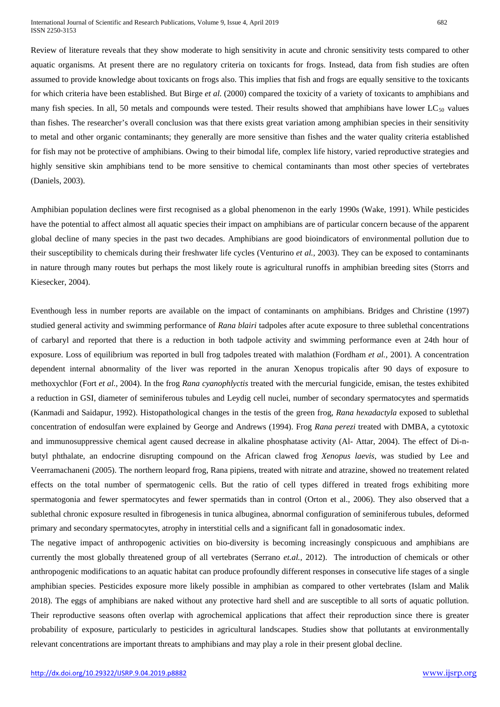Review of literature reveals that they show moderate to high sensitivity in acute and chronic sensitivity tests compared to other aquatic organisms. At present there are no regulatory criteria on toxicants for frogs. Instead, data from fish studies are often assumed to provide knowledge about toxicants on frogs also. This implies that fish and frogs are equally sensitive to the toxicants for which criteria have been established. But Birge *et al.* (2000) compared the toxicity of a variety of toxicants to amphibians and many fish species. In all, 50 metals and compounds were tested. Their results showed that amphibians have lower  $LC_{50}$  values than fishes. The researcher's overall conclusion was that there exists great variation among amphibian species in their sensitivity to metal and other organic contaminants; they generally are more sensitive than fishes and the water quality criteria established for fish may not be protective of amphibians. Owing to their bimodal life, complex life history, varied reproductive strategies and highly sensitive skin amphibians tend to be more sensitive to chemical contaminants than most other species of vertebrates (Daniels, 2003).

Amphibian population declines were first recognised as a global phenomenon in the early 1990s (Wake, 1991). While pesticides have the potential to affect almost all aquatic species their impact on amphibians are of particular concern because of the apparent global decline of many species in the past two decades. Amphibians are good bioindicators of environmental pollution due to their susceptibility to chemicals during their freshwater life cycles (Venturino *et al.,* 2003). They can be exposed to contaminants in nature through many routes but perhaps the most likely route is agricultural runoffs in amphibian breeding sites (Storrs and Kiesecker, 2004).

Eventhough less in number reports are available on the impact of contaminants on amphibians. Bridges and Christine (1997) studied general activity and swimming performance of *Rana blairi* tadpoles after acute exposure to three sublethal concentrations of carbaryl and reported that there is a reduction in both tadpole activity and swimming performance even at 24th hour of exposure. Loss of equilibrium was reported in bull frog tadpoles treated with malathion (Fordham *et al.,* 2001). A concentration dependent internal abnormality of the liver was reported in the anuran Xenopus tropicalis after 90 days of exposure to methoxychlor (Fort *et al.,* 2004). In the frog *Rana cyanophlyctis* treated with the mercurial fungicide, emisan, the testes exhibited a reduction in GSI, diameter of seminiferous tubules and Leydig cell nuclei, number of secondary spermatocytes and spermatids (Kanmadi and Saidapur, 1992). Histopathological changes in the testis of the green frog, *Rana hexadactyla* exposed to sublethal concentration of endosulfan were explained by George and Andrews (1994). Frog *Rana perezi* treated with DMBA, a cytotoxic and immunosuppressive chemical agent caused decrease in alkaline phosphatase activity (Al- Attar, 2004). The effect of Di-nbutyl phthalate, an endocrine disrupting compound on the African clawed frog *Xenopus laevis*, was studied by Lee and Veerramachaneni (2005). The northern leopard frog, Rana pipiens, treated with nitrate and atrazine, showed no treatement related effects on the total number of spermatogenic cells. But the ratio of cell types differed in treated frogs exhibiting more spermatogonia and fewer spermatocytes and fewer spermatids than in control (Orton et al., 2006). They also observed that a sublethal chronic exposure resulted in fibrogenesis in tunica albuginea, abnormal configuration of seminiferous tubules, deformed primary and secondary spermatocytes, atrophy in interstitial cells and a significant fall in gonadosomatic index.

The negative impact of anthropogenic activities on bio-diversity is becoming increasingly conspicuous and amphibians are currently the most globally threatened group of all vertebrates (Serrano *et.al.,* 2012). The introduction of chemicals or other anthropogenic modifications to an aquatic habitat can produce profoundly different responses in consecutive life stages of a single amphibian species. Pesticides exposure more likely possible in amphibian as compared to other vertebrates (Islam and Malik 2018). The eggs of amphibians are naked without any protective hard shell and are susceptible to all sorts of aquatic pollution. Their reproductive seasons often overlap with agrochemical applications that affect their reproduction since there is greater probability of exposure, particularly to pesticides in agricultural landscapes. Studies show that pollutants at environmentally relevant concentrations are important threats to amphibians and may play a role in their present global decline.